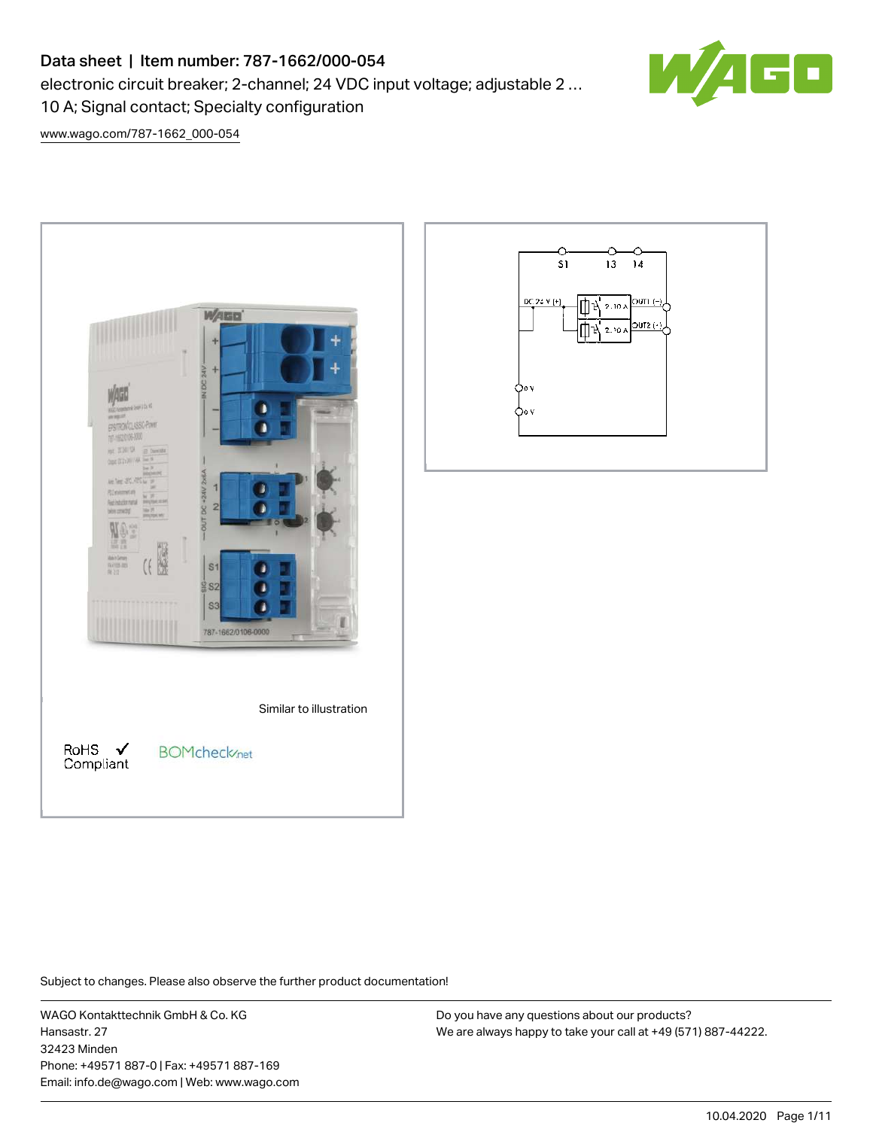# Data sheet | Item number: 787-1662/000-054

electronic circuit breaker; 2-channel; 24 VDC input voltage; adjustable 2 …

10 A; Signal contact; Specialty configuration

[www.wago.com/787-1662\\_000-054](http://www.wago.com/787-1662_000-054)

| <b>WAGO</b><br>÷<br>$-$ IN DC 24V $-$<br>$+$<br><b>SEAMANT PRIDE</b><br>作出が<br>EPSTROVICLASSIC Power<br>T-9208-000<br><b>加工关闭(以)</b><br><b>IB Dentill</b><br><b>SECOND ALBERT</b><br>16.7<br>$-$ OUT DC +24V 2x6A<br><b>HOCHE</b><br><b>在室的店室</b><br>$\vert$<br><b>Riemstm</b><br>×<br><b>Retire do note</b><br><b>BRUSH JESP</b><br>$\overline{2}$<br>63<br>player relet<br>most<br>3<br>š<br><b>Adridorum</b><br>nimmi<br>Nill<br>S <sub>1</sub><br>\$82<br><b>S3</b><br>787-1662/0106-0000 |  |
|-----------------------------------------------------------------------------------------------------------------------------------------------------------------------------------------------------------------------------------------------------------------------------------------------------------------------------------------------------------------------------------------------------------------------------------------------------------------------------------------------|--|
| Similar to illustration<br>RoHS<br><b>BOMcheck</b> /net<br>Compliant                                                                                                                                                                                                                                                                                                                                                                                                                          |  |



Subject to changes. Please also observe the further product documentation!

WAGO Kontakttechnik GmbH & Co. KG Hansastr. 27 32423 Minden Phone: +49571 887-0 | Fax: +49571 887-169 Email: info.de@wago.com | Web: www.wago.com

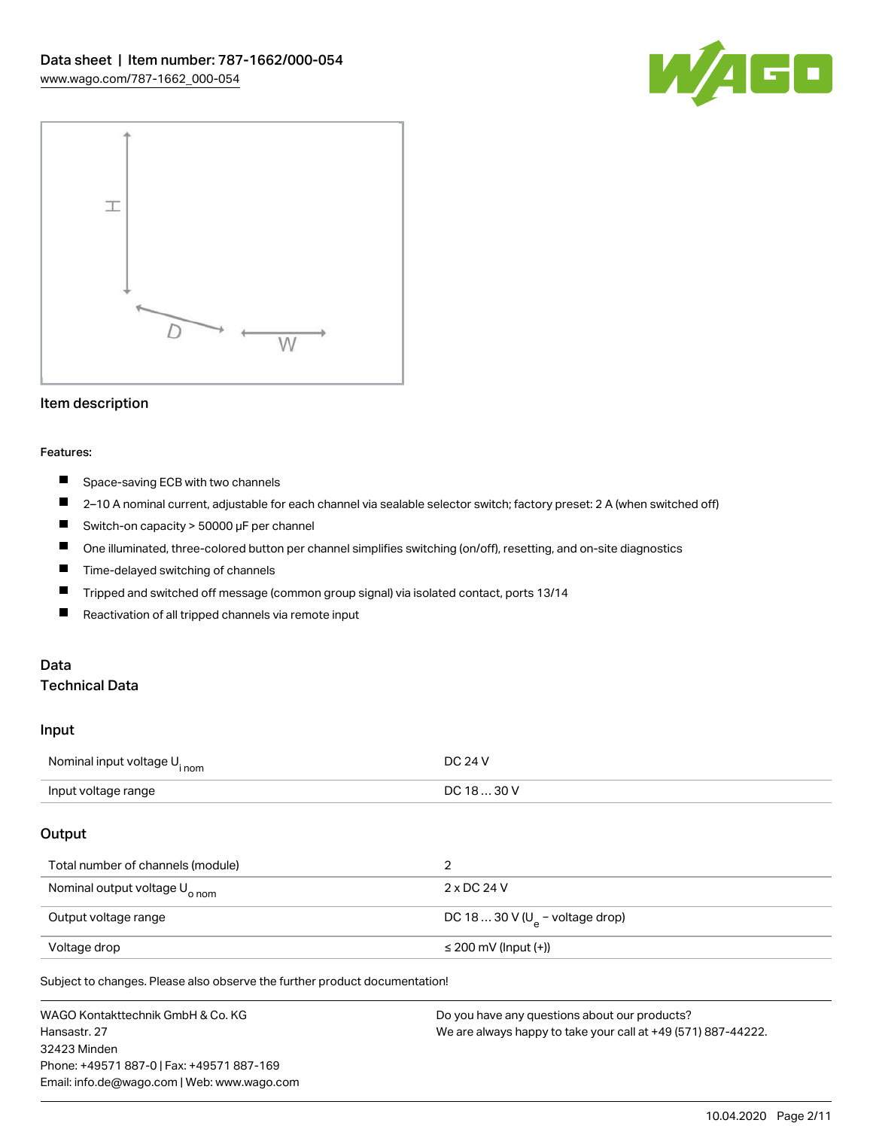



#### Item description

#### Features:

- $\blacksquare$ Space-saving ECB with two channels
- $\blacksquare$ 2–10 A nominal current, adjustable for each channel via sealable selector switch; factory preset: 2 A (when switched off)
- Switch-on capacity > 50000 μF per channel
- $\blacksquare$ One illuminated, three-colored button per channel simplifies switching (on/off), resetting, and on-site diagnostics
- П Time-delayed switching of channels
- П Tripped and switched off message (common group signal) via isolated contact, ports 13/14
- П Reactivation of all tripped channels via remote input

## Data

### Technical Data

#### Input

| Nominal input voltage U <sub>inom</sub>   | DC 24 V                                      |
|-------------------------------------------|----------------------------------------------|
| Input voltage range                       | DC 18  30 V                                  |
| Output                                    |                                              |
| Total number of channels (module)         | 2                                            |
| Nominal output voltage U <sub>o nom</sub> | 2 x DC 24 V                                  |
| Output voltage range                      | DC 18  30 V ( $U_{\text{e}}$ – voltage drop) |

Subject to changes. Please also observe the further product documentation! 2 x 2 / 3 / 4 / 6 / 8 / 10 A (adjustable for each channel via selector

Voltage drop ≤ 200 mV (Input (+))

WAGO Kontakttechnik GmbH & Co. KG Hansastr. 27 32423 Minden Phone: +49571 887-0 | Fax: +49571 887-169 Email: info.de@wago.com | Web: www.wago.com Do you have any questions about our products? We are always happy to take your call at +49 (571) 887-44222.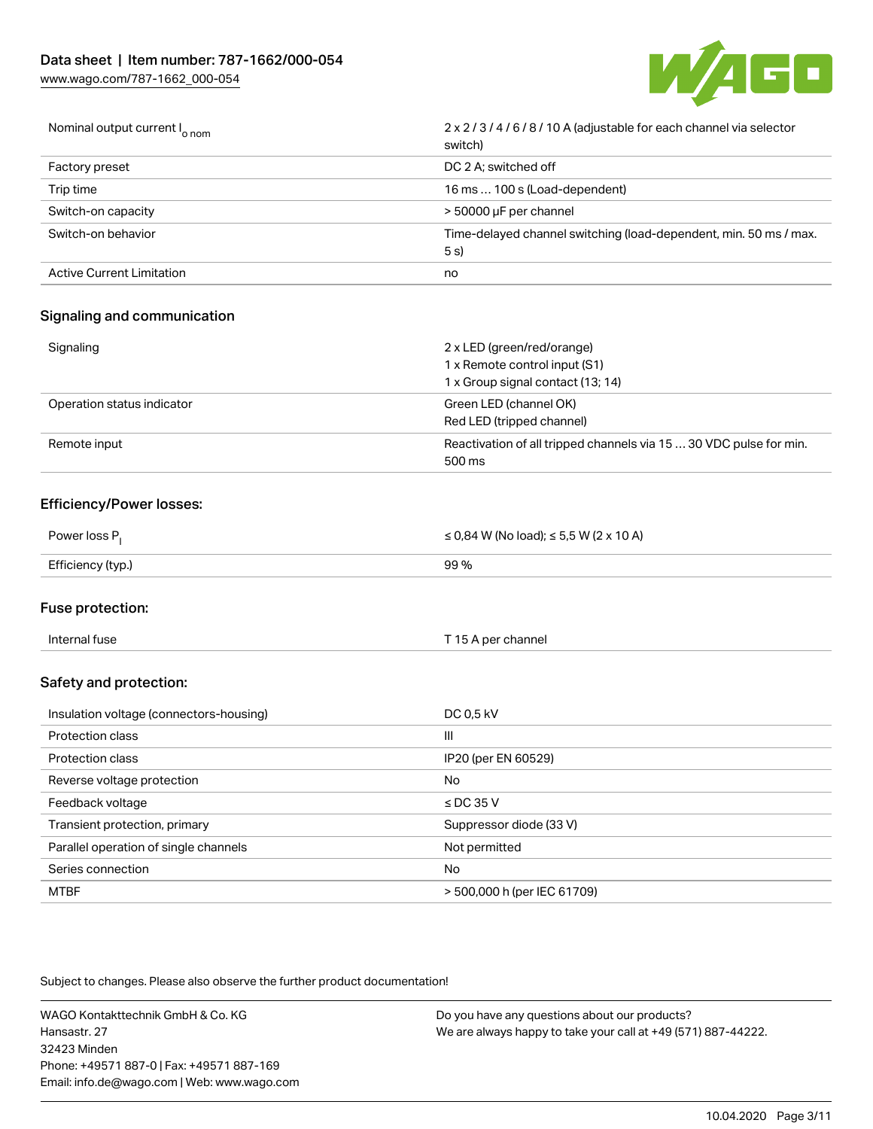

| Nominal output current I <sub>o nom</sub> | 2 x 2/3/4/6/8/10 A (adjustable for each channel via selector<br>switch)   |
|-------------------------------------------|---------------------------------------------------------------------------|
| <b>Factory preset</b>                     | DC 2 A: switched off                                                      |
| Trip time                                 | 16 ms  100 s (Load-dependent)                                             |
| Switch-on capacity                        | > 50000 µF per channel                                                    |
| Switch-on behavior                        | Time-delayed channel switching (load-dependent, min. 50 ms / max.<br>5 s) |
| Active Current Limitation                 | no                                                                        |

## Signaling and communication

| Signaling                  | 2 x LED (green/red/orange)                                         |
|----------------------------|--------------------------------------------------------------------|
|                            | 1 x Remote control input (S1)                                      |
|                            | 1 x Group signal contact (13; 14)                                  |
| Operation status indicator | Green LED (channel OK)                                             |
|                            | Red LED (tripped channel)                                          |
| Remote input               | Reactivation of all tripped channels via 15  30 VDC pulse for min. |
|                            | 500 ms                                                             |

#### Efficiency/Power losses:

| Power loss P.     | ≤ 0,84 W (No load); ≤ 5,5 W (2 x 10 A) |
|-------------------|----------------------------------------|
| Efficiency (typ.) | 99 %                                   |

#### Fuse protection:

| Internal fuse | T 15 A per channel |
|---------------|--------------------|
|               |                    |

### Safety and protection:

| Insulation voltage (connectors-housing) | DC 0,5 kV                   |
|-----------------------------------------|-----------------------------|
| Protection class                        | III                         |
| Protection class                        | IP20 (per EN 60529)         |
| Reverse voltage protection              | No                          |
| Feedback voltage                        | $\le$ DC 35 V               |
| Transient protection, primary           | Suppressor diode (33 V)     |
| Parallel operation of single channels   | Not permitted               |
| Series connection                       | <b>No</b>                   |
| <b>MTBF</b>                             | > 500,000 h (per IEC 61709) |

Subject to changes. Please also observe the further product documentation!

WAGO Kontakttechnik GmbH & Co. KG Hansastr. 27 32423 Minden Phone: +49571 887-0 | Fax: +49571 887-169 Email: info.de@wago.com | Web: www.wago.com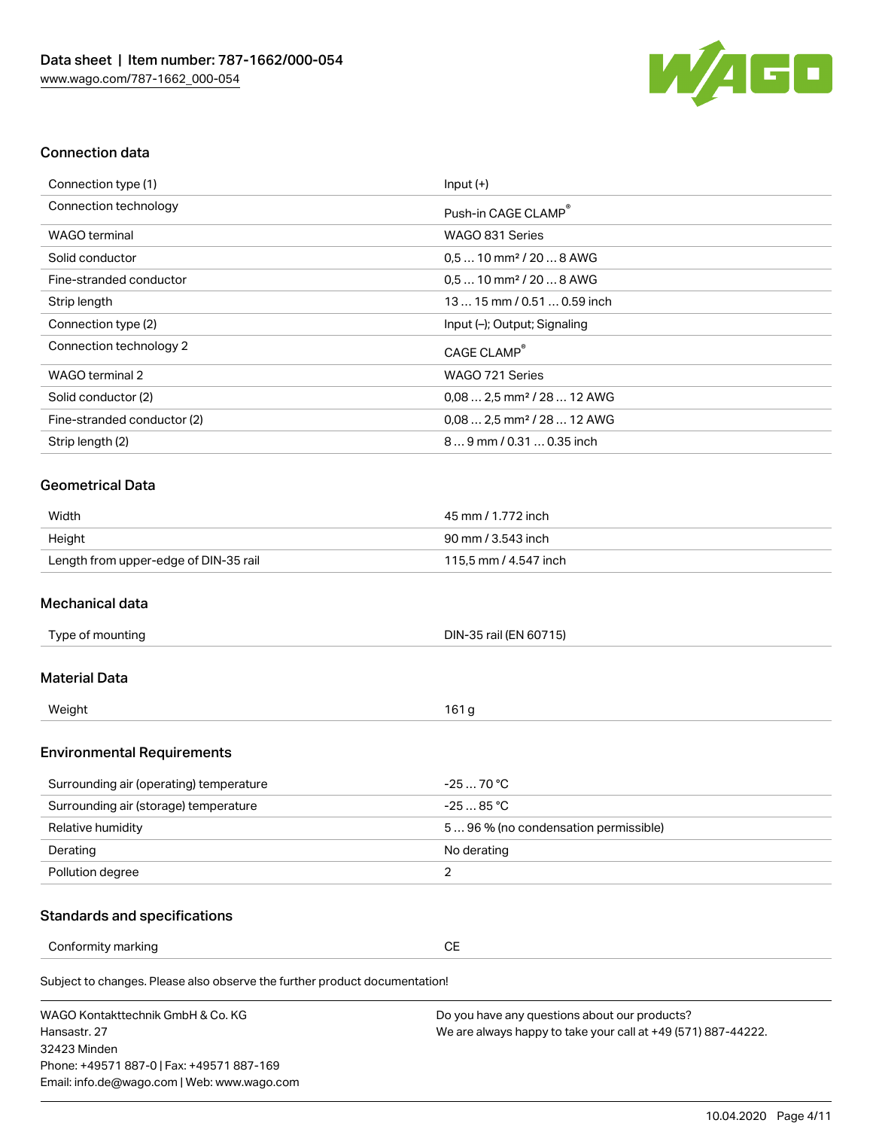

#### Connection data

| Connection type (1)         | $Input (+)$                            |
|-----------------------------|----------------------------------------|
| Connection technology       | Push-in CAGE CLAMP <sup>®</sup>        |
| WAGO terminal               | WAGO 831 Series                        |
| Solid conductor             | $0.510$ mm <sup>2</sup> / 20  8 AWG    |
| Fine-stranded conductor     | $0.510$ mm <sup>2</sup> / 20  8 AWG    |
| Strip length                | $1315$ mm $/$ 0.51 $$ 0.59 inch        |
| Connection type (2)         | Input (-); Output; Signaling           |
| Connection technology 2     | CAGE CLAMP <sup>®</sup>                |
| WAGO terminal 2             | WAGO 721 Series                        |
| Solid conductor (2)         | $0.082.5$ mm <sup>2</sup> / 28  12 AWG |
| Fine-stranded conductor (2) | $0.082.5$ mm <sup>2</sup> / 28  12 AWG |
| Strip length (2)            | $89$ mm $/ 0.310.35$ inch              |

#### Geometrical Data

| Width                                 | 45 mm / 1.772 inch    |
|---------------------------------------|-----------------------|
| Height                                | 90 mm / 3.543 inch    |
| Length from upper-edge of DIN-35 rail | 115,5 mm / 4.547 inch |

#### Mechanical data

| Type of mounting | DIN-35 rail (EN 60715) |
|------------------|------------------------|
|                  |                        |

#### Material Data

| Weight | $\sim$ |
|--------|--------|
|        |        |

#### Environmental Requirements

| Surrounding air (operating) temperature | -25  70 °C                         |
|-----------------------------------------|------------------------------------|
| Surrounding air (storage) temperature   | -25  85 °C                         |
| Relative humidity                       | 596% (no condensation permissible) |
| Derating                                | No derating                        |
| Pollution degree                        |                                    |

#### Standards and specifications

Conformity marking **CE** 

Subject to changes. Please also observe the further product documentation!

WAGO Kontakttechnik GmbH & Co. KG Hansastr. 27 32423 Minden Phone: +49571 887-0 | Fax: +49571 887-169 Email: info.de@wago.com | Web: www.wago.com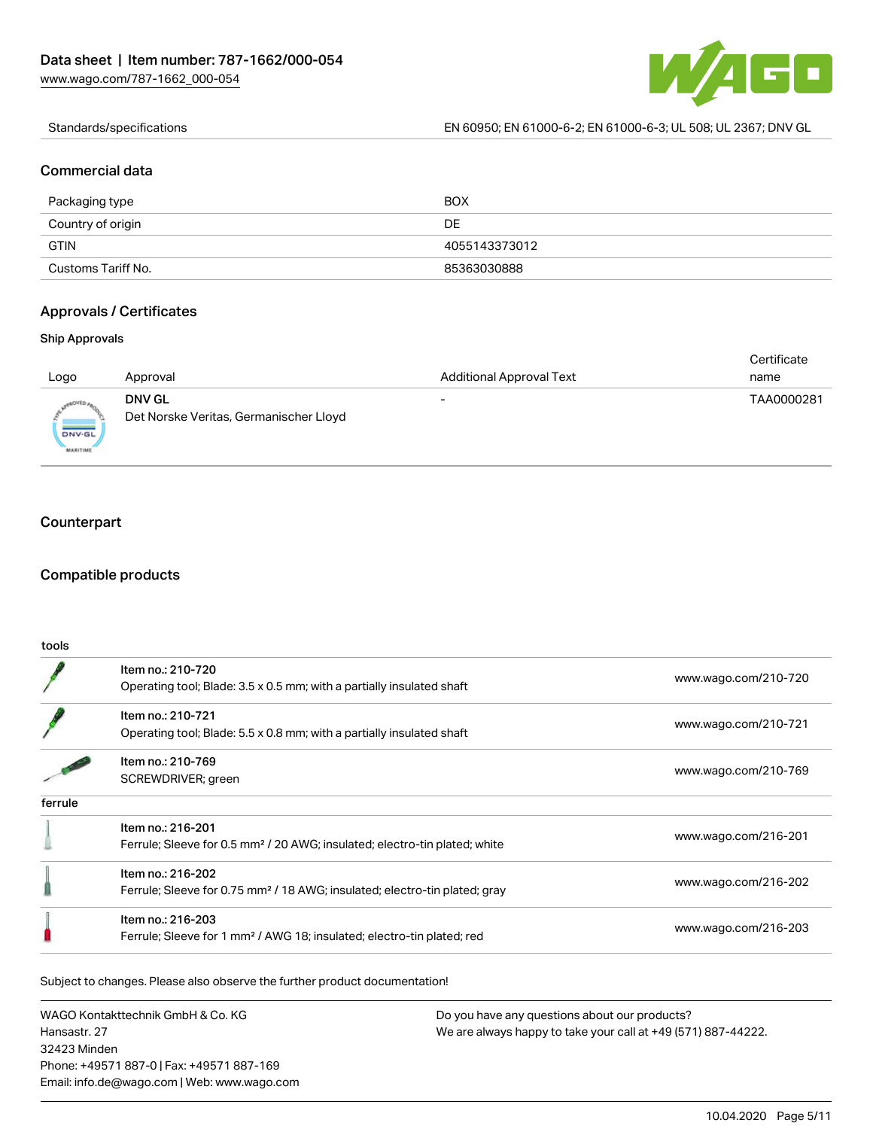

Standards/specifications EN 60950; EN 61000-6-2; EN 61000-6-3; UL 508; UL 2367; DNV GL

#### Commercial data

| Packaging type     | BOX           |
|--------------------|---------------|
| Country of origin  | DE            |
| <b>GTIN</b>        | 4055143373012 |
| Customs Tariff No. | 85363030888   |

#### Approvals / Certificates

#### Ship Approvals

| Logo                      | Approval                               | <b>Additional Approval Text</b> | Certificate<br>name |
|---------------------------|----------------------------------------|---------------------------------|---------------------|
|                           |                                        |                                 |                     |
| <sub>e</sub> aovto,       | <b>DNV GL</b>                          |                                 | TAA0000281          |
| DNV-GL<br><b>MARITIME</b> | Det Norske Veritas, Germanischer Lloyd |                                 |                     |

### **Counterpart**

#### Compatible products

| tools   |                                                                                                             |                      |
|---------|-------------------------------------------------------------------------------------------------------------|----------------------|
|         | Item no.: 210-720<br>Operating tool; Blade: 3.5 x 0.5 mm; with a partially insulated shaft                  | www.wago.com/210-720 |
|         | Item no.: 210-721<br>Operating tool; Blade: 5.5 x 0.8 mm; with a partially insulated shaft                  | www.wago.com/210-721 |
|         | Item no.: 210-769<br>SCREWDRIVER; green                                                                     | www.wago.com/210-769 |
| ferrule |                                                                                                             |                      |
|         | Item no.: 216-201<br>Ferrule; Sleeve for 0.5 mm <sup>2</sup> / 20 AWG; insulated; electro-tin plated; white | www.wago.com/216-201 |
|         | Item no.: 216-202<br>Ferrule; Sleeve for 0.75 mm <sup>2</sup> / 18 AWG; insulated; electro-tin plated; gray | www.wago.com/216-202 |
|         | Item no.: 216-203<br>Ferrule; Sleeve for 1 mm <sup>2</sup> / AWG 18; insulated; electro-tin plated; red     | www.wago.com/216-203 |

Subject to changes. Please also observe the further product documentation!

WAGO Kontakttechnik GmbH & Co. KG Hansastr. 27 32423 Minden Phone: +49571 887-0 | Fax: +49571 887-169 Email: info.de@wago.com | Web: www.wago.com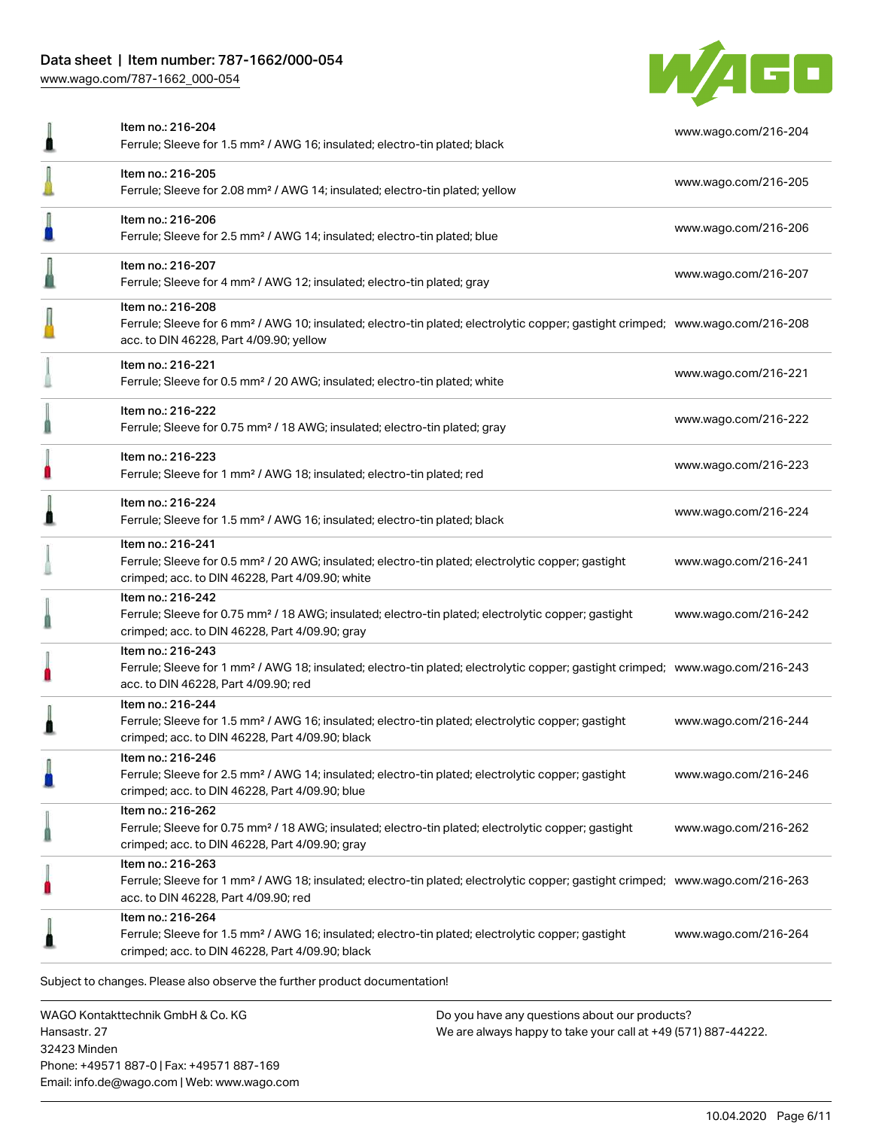# Data sheet | Item number: 787-1662/000-054

[www.wago.com/787-1662\\_000-054](http://www.wago.com/787-1662_000-054)



| ≞ | Item no.: 216-204<br>Ferrule; Sleeve for 1.5 mm <sup>2</sup> / AWG 16; insulated; electro-tin plated; black                                                                                                | www.wago.com/216-204 |
|---|------------------------------------------------------------------------------------------------------------------------------------------------------------------------------------------------------------|----------------------|
|   | Item no.: 216-205<br>Ferrule; Sleeve for 2.08 mm <sup>2</sup> / AWG 14; insulated; electro-tin plated; yellow                                                                                              | www.wago.com/216-205 |
| n | Item no.: 216-206<br>Ferrule; Sleeve for 2.5 mm <sup>2</sup> / AWG 14; insulated; electro-tin plated; blue                                                                                                 | www.wago.com/216-206 |
|   | Item no.: 216-207<br>Ferrule; Sleeve for 4 mm <sup>2</sup> / AWG 12; insulated; electro-tin plated; gray                                                                                                   | www.wago.com/216-207 |
|   | Item no.: 216-208<br>Ferrule; Sleeve for 6 mm <sup>2</sup> / AWG 10; insulated; electro-tin plated; electrolytic copper; gastight crimped; www.wago.com/216-208<br>acc. to DIN 46228, Part 4/09.90; yellow |                      |
|   | Item no.: 216-221<br>Ferrule; Sleeve for 0.5 mm <sup>2</sup> / 20 AWG; insulated; electro-tin plated; white                                                                                                | www.wago.com/216-221 |
|   | Item no.: 216-222<br>Ferrule; Sleeve for 0.75 mm <sup>2</sup> / 18 AWG; insulated; electro-tin plated; gray                                                                                                | www.wago.com/216-222 |
|   | Item no.: 216-223<br>Ferrule; Sleeve for 1 mm <sup>2</sup> / AWG 18; insulated; electro-tin plated; red                                                                                                    | www.wago.com/216-223 |
|   | Item no.: 216-224<br>Ferrule; Sleeve for 1.5 mm <sup>2</sup> / AWG 16; insulated; electro-tin plated; black                                                                                                | www.wago.com/216-224 |
|   | Item no.: 216-241<br>Ferrule; Sleeve for 0.5 mm <sup>2</sup> / 20 AWG; insulated; electro-tin plated; electrolytic copper; gastight<br>crimped; acc. to DIN 46228, Part 4/09.90; white                     | www.wago.com/216-241 |
|   | Item no.: 216-242<br>Ferrule; Sleeve for 0.75 mm <sup>2</sup> / 18 AWG; insulated; electro-tin plated; electrolytic copper; gastight<br>crimped; acc. to DIN 46228, Part 4/09.90; gray                     | www.wago.com/216-242 |
|   | Item no.: 216-243<br>Ferrule; Sleeve for 1 mm <sup>2</sup> / AWG 18; insulated; electro-tin plated; electrolytic copper; gastight crimped; www.wago.com/216-243<br>acc. to DIN 46228, Part 4/09.90; red    |                      |
|   | Item no.: 216-244<br>Ferrule; Sleeve for 1.5 mm <sup>2</sup> / AWG 16; insulated; electro-tin plated; electrolytic copper; gastight<br>crimped; acc. to DIN 46228, Part 4/09.90; black                     | www.wago.com/216-244 |
|   | Item no.: 216-246<br>Ferrule; Sleeve for 2.5 mm <sup>2</sup> / AWG 14; insulated; electro-tin plated; electrolytic copper; gastight<br>crimped; acc. to DIN 46228, Part 4/09.90; blue                      | www.wago.com/216-246 |
| 0 | Item no.: 216-262<br>Ferrule; Sleeve for 0.75 mm <sup>2</sup> / 18 AWG; insulated; electro-tin plated; electrolytic copper; gastight<br>crimped; acc. to DIN 46228, Part 4/09.90; gray                     | www.wago.com/216-262 |
| n | Item no.: 216-263<br>Ferrule; Sleeve for 1 mm <sup>2</sup> / AWG 18; insulated; electro-tin plated; electrolytic copper; gastight crimped; www.wago.com/216-263<br>acc. to DIN 46228, Part 4/09.90; red    |                      |
|   | Item no.: 216-264<br>Ferrule; Sleeve for 1.5 mm <sup>2</sup> / AWG 16; insulated; electro-tin plated; electrolytic copper; gastight<br>crimped; acc. to DIN 46228, Part 4/09.90; black                     | www.wago.com/216-264 |
|   | Subject to changes. Please also observe the further product documentation!                                                                                                                                 |                      |

WAGO Kontakttechnik GmbH & Co. KG Hansastr. 27 32423 Minden Phone: +49571 887-0 | Fax: +49571 887-169 Email: info.de@wago.com | Web: www.wago.com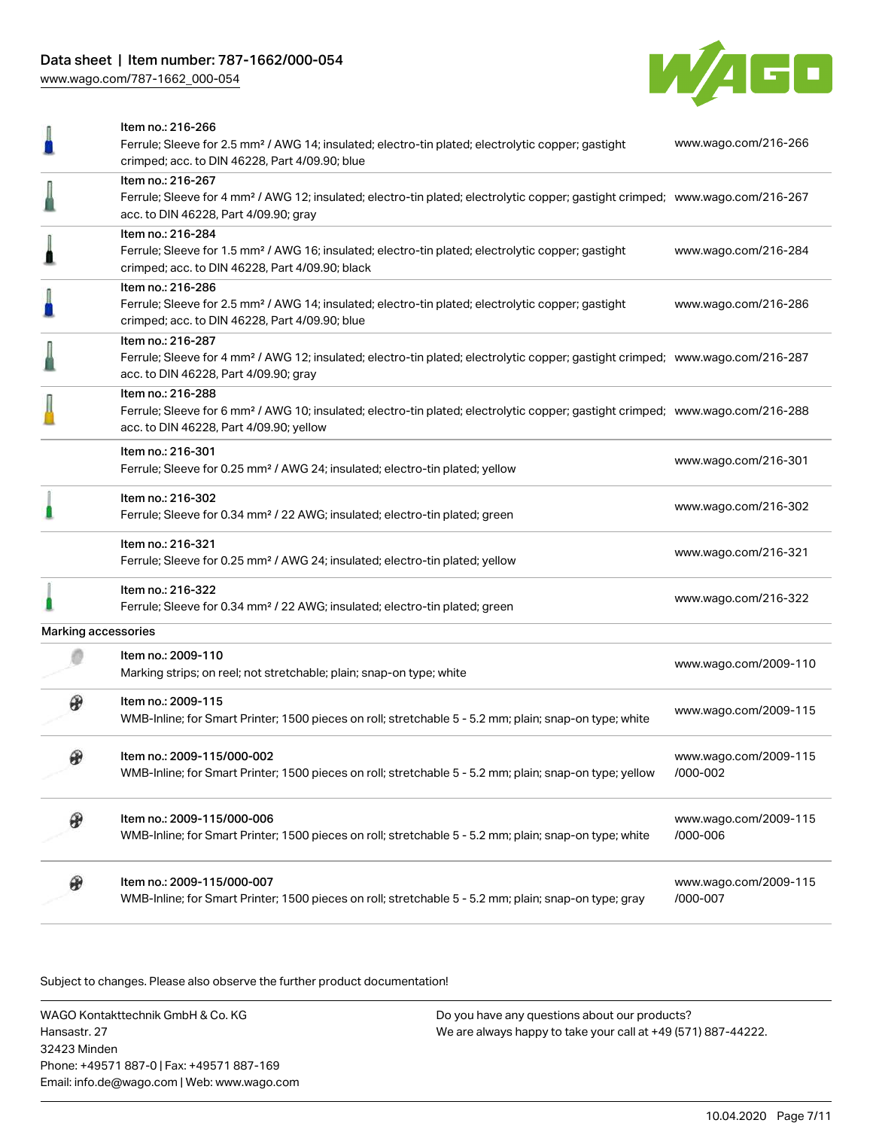



|                     | Item no.: 216-266<br>Ferrule; Sleeve for 2.5 mm <sup>2</sup> / AWG 14; insulated; electro-tin plated; electrolytic copper; gastight                                                                        | www.wago.com/216-266              |  |
|---------------------|------------------------------------------------------------------------------------------------------------------------------------------------------------------------------------------------------------|-----------------------------------|--|
|                     | crimped; acc. to DIN 46228, Part 4/09.90; blue                                                                                                                                                             |                                   |  |
|                     | Item no.: 216-267<br>Ferrule; Sleeve for 4 mm <sup>2</sup> / AWG 12; insulated; electro-tin plated; electrolytic copper; gastight crimped; www.wago.com/216-267<br>acc. to DIN 46228, Part 4/09.90; gray   |                                   |  |
|                     | Item no.: 216-284<br>Ferrule; Sleeve for 1.5 mm <sup>2</sup> / AWG 16; insulated; electro-tin plated; electrolytic copper; gastight<br>crimped; acc. to DIN 46228, Part 4/09.90; black                     | www.wago.com/216-284              |  |
|                     | Item no.: 216-286<br>Ferrule; Sleeve for 2.5 mm <sup>2</sup> / AWG 14; insulated; electro-tin plated; electrolytic copper; gastight<br>crimped; acc. to DIN 46228, Part 4/09.90; blue                      | www.wago.com/216-286              |  |
|                     | Item no.: 216-287<br>Ferrule; Sleeve for 4 mm <sup>2</sup> / AWG 12; insulated; electro-tin plated; electrolytic copper; gastight crimped; www.wago.com/216-287<br>acc. to DIN 46228, Part 4/09.90; gray   |                                   |  |
|                     | Item no.: 216-288<br>Ferrule; Sleeve for 6 mm <sup>2</sup> / AWG 10; insulated; electro-tin plated; electrolytic copper; gastight crimped; www.wago.com/216-288<br>acc. to DIN 46228, Part 4/09.90; yellow |                                   |  |
|                     | Item no.: 216-301<br>Ferrule; Sleeve for 0.25 mm <sup>2</sup> / AWG 24; insulated; electro-tin plated; yellow                                                                                              | www.wago.com/216-301              |  |
|                     | Item no.: 216-302<br>Ferrule; Sleeve for 0.34 mm <sup>2</sup> / 22 AWG; insulated; electro-tin plated; green                                                                                               | www.wago.com/216-302              |  |
|                     | Item no.: 216-321<br>Ferrule; Sleeve for 0.25 mm <sup>2</sup> / AWG 24; insulated; electro-tin plated; yellow                                                                                              | www.wago.com/216-321              |  |
|                     | Item no.: 216-322<br>Ferrule; Sleeve for 0.34 mm <sup>2</sup> / 22 AWG; insulated; electro-tin plated; green                                                                                               | www.wago.com/216-322              |  |
| Marking accessories |                                                                                                                                                                                                            |                                   |  |
|                     | Item no.: 2009-110<br>Marking strips; on reel; not stretchable; plain; snap-on type; white                                                                                                                 | www.wago.com/2009-110             |  |
|                     | Item no.: 2009-115<br>WMB-Inline; for Smart Printer; 1500 pieces on roll; stretchable 5 - 5.2 mm; plain; snap-on type; white                                                                               | www.wago.com/2009-115             |  |
| ⊕                   | Item no.: 2009-115/000-002<br>WMB-Inline; for Smart Printer; 1500 pieces on roll; stretchable 5 - 5.2 mm; plain; snap-on type; yellow                                                                      | www.wago.com/2009-115<br>/000-002 |  |
| ⊕                   | Item no.: 2009-115/000-006<br>WMB-Inline; for Smart Printer; 1500 pieces on roll; stretchable 5 - 5.2 mm; plain; snap-on type; white                                                                       | www.wago.com/2009-115<br>/000-006 |  |
| ₩                   | Item no.: 2009-115/000-007<br>WMB-Inline; for Smart Printer; 1500 pieces on roll; stretchable 5 - 5.2 mm; plain; snap-on type; gray                                                                        | www.wago.com/2009-115<br>/000-007 |  |

Subject to changes. Please also observe the further product documentation!

WAGO Kontakttechnik GmbH & Co. KG Hansastr. 27 32423 Minden Phone: +49571 887-0 | Fax: +49571 887-169 Email: info.de@wago.com | Web: www.wago.com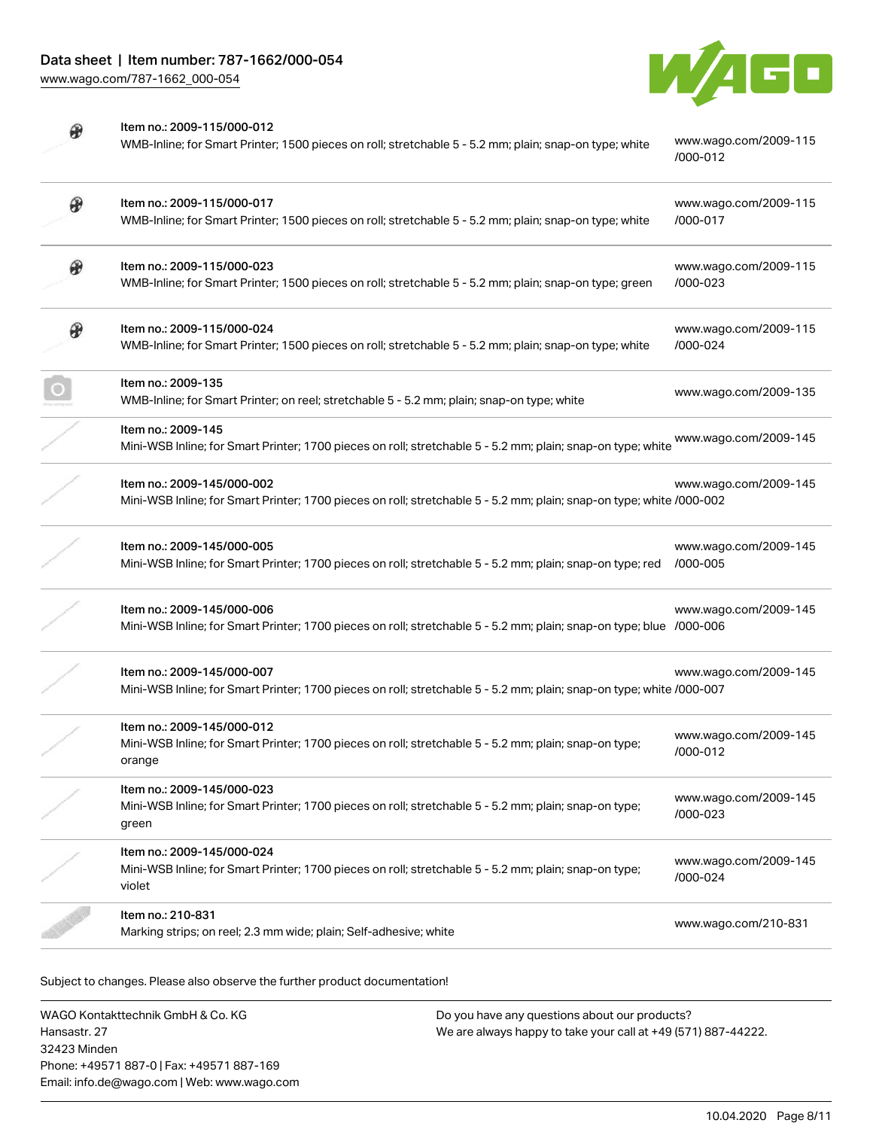

|   | Item no.: 2009-115/000-012<br>WMB-Inline; for Smart Printer; 1500 pieces on roll; stretchable 5 - 5.2 mm; plain; snap-on type; white               | www.wago.com/2009-115<br>/000-012 |
|---|----------------------------------------------------------------------------------------------------------------------------------------------------|-----------------------------------|
| Đ | Item no.: 2009-115/000-017<br>WMB-Inline; for Smart Printer; 1500 pieces on roll; stretchable 5 - 5.2 mm; plain; snap-on type; white               | www.wago.com/2009-115<br>/000-017 |
| ⊛ | Item no.: 2009-115/000-023<br>WMB-Inline; for Smart Printer; 1500 pieces on roll; stretchable 5 - 5.2 mm; plain; snap-on type; green               | www.wago.com/2009-115<br>/000-023 |
| ⊕ | Item no.: 2009-115/000-024<br>WMB-Inline; for Smart Printer; 1500 pieces on roll; stretchable 5 - 5.2 mm; plain; snap-on type; white               | www.wago.com/2009-115<br>/000-024 |
|   | Item no.: 2009-135<br>WMB-Inline; for Smart Printer; on reel; stretchable 5 - 5.2 mm; plain; snap-on type; white                                   | www.wago.com/2009-135             |
|   | Item no.: 2009-145<br>Mini-WSB Inline; for Smart Printer; 1700 pieces on roll; stretchable 5 - 5.2 mm; plain; snap-on type; white                  | www.wago.com/2009-145             |
|   | Item no.: 2009-145/000-002<br>Mini-WSB Inline; for Smart Printer; 1700 pieces on roll; stretchable 5 - 5.2 mm; plain; snap-on type; white /000-002 | www.wago.com/2009-145             |
|   | Item no.: 2009-145/000-005<br>Mini-WSB Inline; for Smart Printer; 1700 pieces on roll; stretchable 5 - 5.2 mm; plain; snap-on type; red            | www.wago.com/2009-145<br>/000-005 |
|   | Item no.: 2009-145/000-006<br>Mini-WSB Inline; for Smart Printer; 1700 pieces on roll; stretchable 5 - 5.2 mm; plain; snap-on type; blue /000-006  | www.wago.com/2009-145             |
|   | Item no.: 2009-145/000-007<br>Mini-WSB Inline; for Smart Printer; 1700 pieces on roll; stretchable 5 - 5.2 mm; plain; snap-on type; white /000-007 | www.wago.com/2009-145             |
|   | Item no.: 2009-145/000-012<br>Mini-WSB Inline; for Smart Printer; 1700 pieces on roll; stretchable 5 - 5.2 mm; plain; snap-on type;<br>orange      | www.wago.com/2009-145<br>/000-012 |
|   | Item no.: 2009-145/000-023<br>Mini-WSB Inline; for Smart Printer; 1700 pieces on roll; stretchable 5 - 5.2 mm; plain; snap-on type;<br>green       | www.wago.com/2009-145<br>/000-023 |
|   | Item no.: 2009-145/000-024<br>Mini-WSB Inline; for Smart Printer; 1700 pieces on roll; stretchable 5 - 5.2 mm; plain; snap-on type;<br>violet      | www.wago.com/2009-145<br>/000-024 |
|   | Item no.: 210-831<br>Marking strips; on reel; 2.3 mm wide; plain; Self-adhesive; white                                                             | www.wago.com/210-831              |

Subject to changes. Please also observe the further product documentation!

WAGO Kontakttechnik GmbH & Co. KG Hansastr. 27 32423 Minden Phone: +49571 887-0 | Fax: +49571 887-169 Email: info.de@wago.com | Web: www.wago.com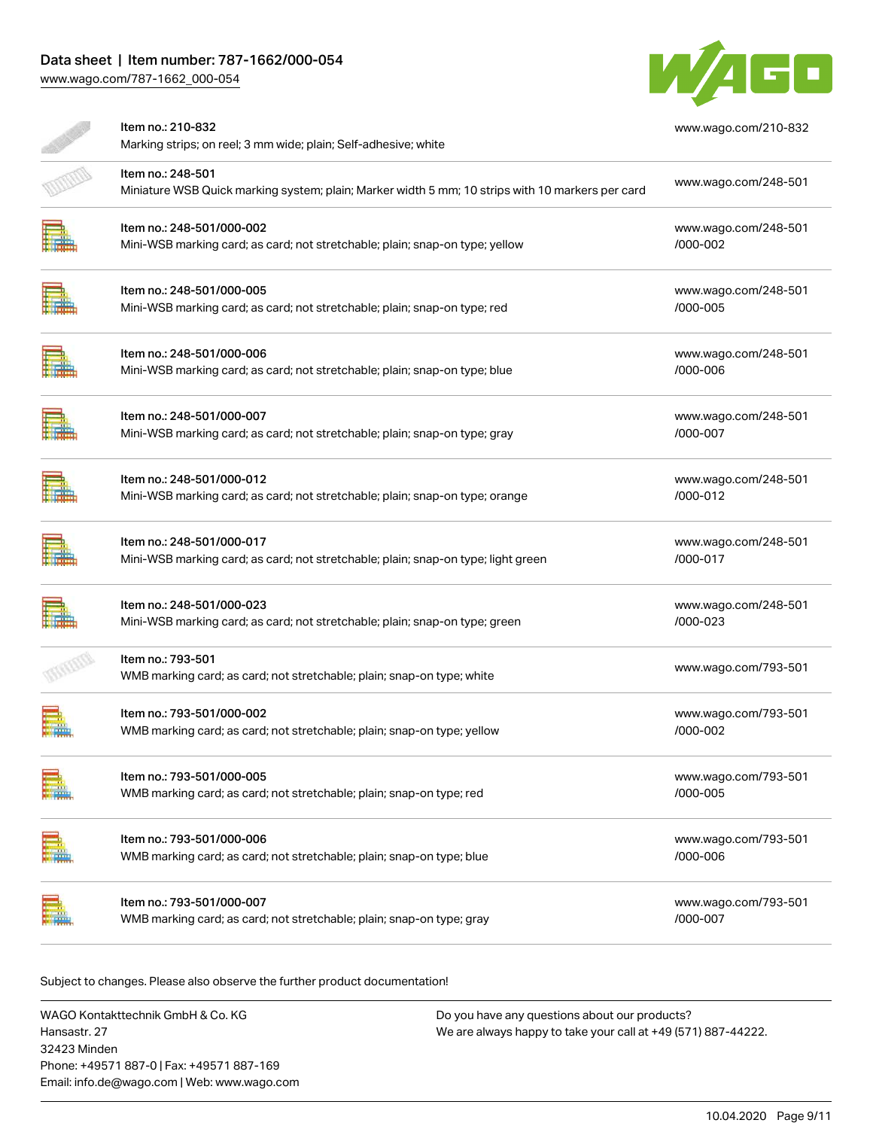# Data sheet | Item number: 787-1662/000-054

[www.wago.com/787-1662\\_000-054](http://www.wago.com/787-1662_000-054)



| Item no.: 210-832<br>Marking strips; on reel; 3 mm wide; plain; Self-adhesive; white                                  | www.wago.com/210-832             |  |
|-----------------------------------------------------------------------------------------------------------------------|----------------------------------|--|
| Item no.: 248-501<br>Miniature WSB Quick marking system; plain; Marker width 5 mm; 10 strips with 10 markers per card | www.wago.com/248-501             |  |
| Item no.: 248-501/000-002<br>Mini-WSB marking card; as card; not stretchable; plain; snap-on type; yellow             | www.wago.com/248-501<br>/000-002 |  |
| Item no.: 248-501/000-005<br>Mini-WSB marking card; as card; not stretchable; plain; snap-on type; red                | www.wago.com/248-501<br>/000-005 |  |
| Item no.: 248-501/000-006<br>Mini-WSB marking card; as card; not stretchable; plain; snap-on type; blue               | www.wago.com/248-501<br>/000-006 |  |
| Item no.: 248-501/000-007<br>Mini-WSB marking card; as card; not stretchable; plain; snap-on type; gray               | www.wago.com/248-501<br>/000-007 |  |
| Item no.: 248-501/000-012<br>Mini-WSB marking card; as card; not stretchable; plain; snap-on type; orange             | www.wago.com/248-501<br>/000-012 |  |
| Item no.: 248-501/000-017<br>Mini-WSB marking card; as card; not stretchable; plain; snap-on type; light green        | www.wago.com/248-501<br>/000-017 |  |
| Item no.: 248-501/000-023<br>Mini-WSB marking card; as card; not stretchable; plain; snap-on type; green              | www.wago.com/248-501<br>/000-023 |  |
| Item no.: 793-501<br>WMB marking card; as card; not stretchable; plain; snap-on type; white                           | www.wago.com/793-501             |  |
| Item no.: 793-501/000-002<br>WMB marking card; as card; not stretchable; plain; snap-on type; yellow                  | www.wago.com/793-501<br>/000-002 |  |
| Item no.: 793-501/000-005<br>WMB marking card; as card; not stretchable; plain; snap-on type; red                     | www.wago.com/793-501<br>/000-005 |  |
| Item no.: 793-501/000-006<br>WMB marking card; as card; not stretchable; plain; snap-on type; blue                    | www.wago.com/793-501<br>/000-006 |  |
| Item no.: 793-501/000-007<br>WMB marking card; as card; not stretchable; plain; snap-on type; gray                    | www.wago.com/793-501<br>/000-007 |  |

Subject to changes. Please also observe the further product documentation!

WAGO Kontakttechnik GmbH & Co. KG Hansastr. 27 32423 Minden Phone: +49571 887-0 | Fax: +49571 887-169 Email: info.de@wago.com | Web: www.wago.com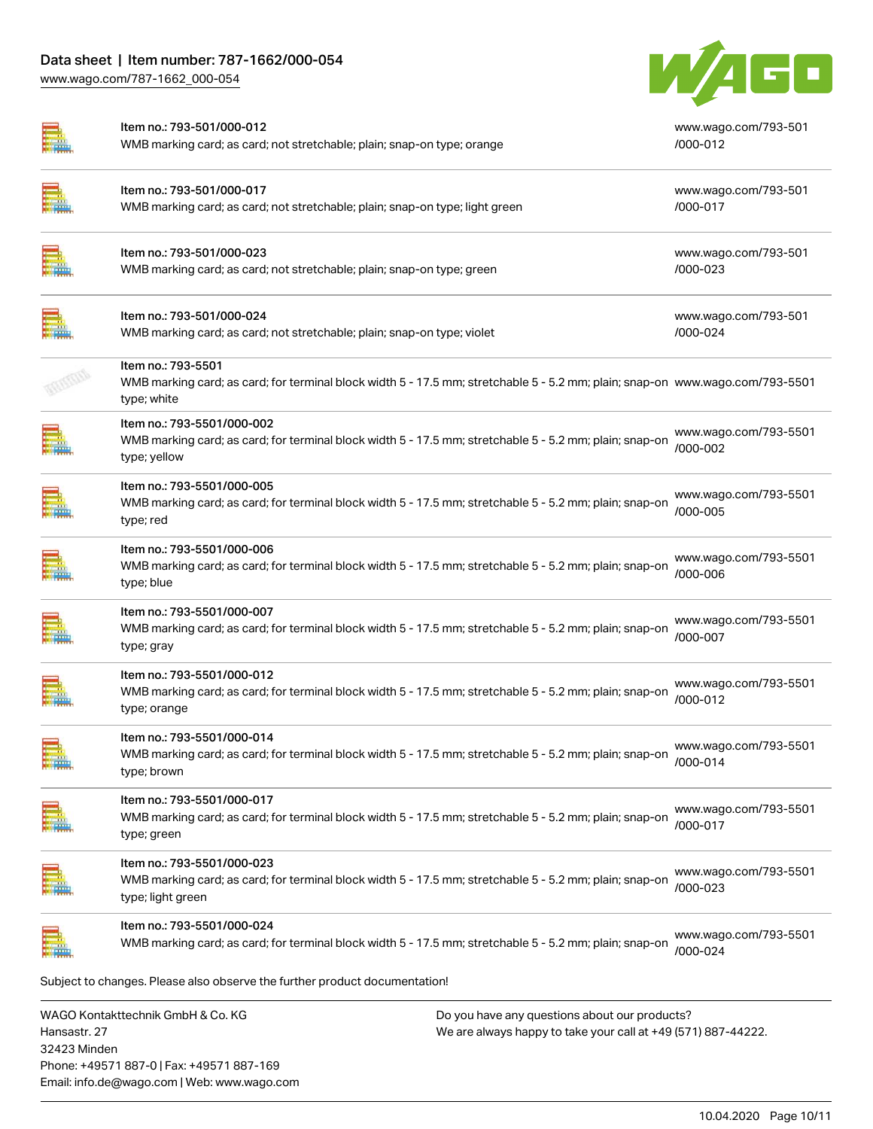[www.wago.com/787-1662\\_000-054](http://www.wago.com/787-1662_000-054)

32423 Minden

Phone: +49571 887-0 | Fax: +49571 887-169 Email: info.de@wago.com | Web: www.wago.com



|              | Item no.: 793-501/000-012<br>WMB marking card; as card; not stretchable; plain; snap-on type; orange                                                               |                                                                                                                | www.wago.com/793-501<br>/000-012  |
|--------------|--------------------------------------------------------------------------------------------------------------------------------------------------------------------|----------------------------------------------------------------------------------------------------------------|-----------------------------------|
|              | Item no.: 793-501/000-017<br>WMB marking card; as card; not stretchable; plain; snap-on type; light green                                                          |                                                                                                                | www.wago.com/793-501<br>/000-017  |
|              | Item no.: 793-501/000-023<br>WMB marking card; as card; not stretchable; plain; snap-on type; green                                                                |                                                                                                                | www.wago.com/793-501<br>/000-023  |
|              | Item no.: 793-501/000-024<br>WMB marking card; as card; not stretchable; plain; snap-on type; violet                                                               |                                                                                                                | www.wago.com/793-501<br>/000-024  |
|              | Item no.: 793-5501<br>WMB marking card; as card; for terminal block width 5 - 17.5 mm; stretchable 5 - 5.2 mm; plain; snap-on www.wago.com/793-5501<br>type; white |                                                                                                                |                                   |
|              | Item no.: 793-5501/000-002<br>WMB marking card; as card; for terminal block width 5 - 17.5 mm; stretchable 5 - 5.2 mm; plain; snap-on<br>type; yellow              |                                                                                                                | www.wago.com/793-5501<br>/000-002 |
|              | Item no.: 793-5501/000-005<br>WMB marking card; as card; for terminal block width 5 - 17.5 mm; stretchable 5 - 5.2 mm; plain; snap-on<br>type; red                 |                                                                                                                | www.wago.com/793-5501<br>/000-005 |
|              | Item no.: 793-5501/000-006<br>WMB marking card; as card; for terminal block width 5 - 17.5 mm; stretchable 5 - 5.2 mm; plain; snap-on<br>type; blue                |                                                                                                                | www.wago.com/793-5501<br>/000-006 |
|              | Item no.: 793-5501/000-007<br>WMB marking card; as card; for terminal block width 5 - 17.5 mm; stretchable 5 - 5.2 mm; plain; snap-on<br>type; gray                |                                                                                                                | www.wago.com/793-5501<br>/000-007 |
|              | Item no.: 793-5501/000-012<br>WMB marking card; as card; for terminal block width 5 - 17.5 mm; stretchable 5 - 5.2 mm; plain; snap-on<br>type; orange              |                                                                                                                | www.wago.com/793-5501<br>/000-012 |
|              | Item no.: 793-5501/000-014<br>WMB marking card; as card; for terminal block width 5 - 17.5 mm; stretchable 5 - 5.2 mm; plain; snap-on<br>type; brown               |                                                                                                                | www.wago.com/793-5501<br>/000-014 |
|              | Item no.: 793-5501/000-017<br>WMB marking card; as card; for terminal block width 5 - 17.5 mm; stretchable 5 - 5.2 mm; plain; snap-on<br>type; green               |                                                                                                                | www.wago.com/793-5501<br>/000-017 |
|              | Item no.: 793-5501/000-023<br>WMB marking card; as card; for terminal block width 5 - 17.5 mm; stretchable 5 - 5.2 mm; plain; snap-on<br>type; light green         |                                                                                                                | www.wago.com/793-5501<br>/000-023 |
|              | Item no.: 793-5501/000-024<br>WMB marking card; as card; for terminal block width 5 - 17.5 mm; stretchable 5 - 5.2 mm; plain; snap-on                              |                                                                                                                | www.wago.com/793-5501<br>/000-024 |
|              | Subject to changes. Please also observe the further product documentation!                                                                                         |                                                                                                                |                                   |
| Hansastr. 27 | WAGO Kontakttechnik GmbH & Co. KG                                                                                                                                  | Do you have any questions about our products?<br>We are always happy to take your call at +49 (571) 887-44222. |                                   |